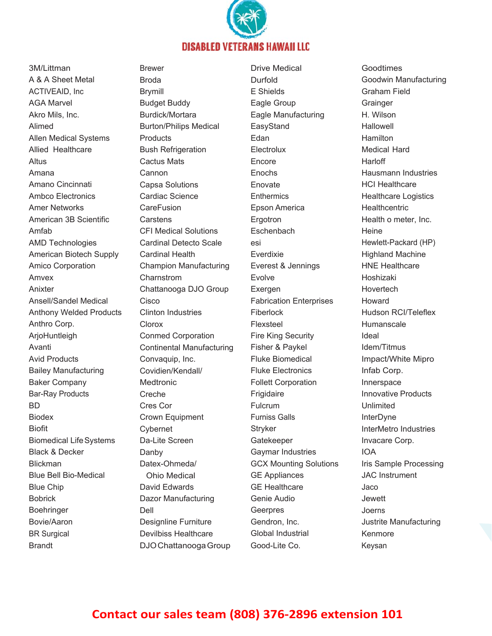

Brandt DJO Chattanooga Group Good-Lite Co. Keysan 3M/Littman A & A Sheet Metal ACTIVEAID, Inc AGA Marvel Akro Mils, Inc. Alimed Allen Medical Systems Allied Healthcare Altus Amana Amano Cincinnati Ambco Electronics Amer Networks American 3B Scientific Amfab AMD Technologies American Biotech Supply Amico Corporation Amvex Anixter Ansell/Sandel Medical Anthony Welded Products Anthro Corp. ArjoHuntleigh Avanti Avid Products Bailey Manufacturing Baker Company Bar-Ray Products BD Biodex Biofit Biomedical Life Systems Black & Decker Blickman Blue Bell Bio-Medical Blue Chip Bobrick Boehringer Bovie/Aaron BR Surgical

Brewer Broda Brymill Budget Buddy Burdick/Mortara Burton/Philips Medical **Products** Bush Refrigeration Cactus Mats Cannon Capsa Solutions Cardiac Science **CareFusion Carstens** CFI Medical Solutions Cardinal Detecto Scale Cardinal Health Champion Manufacturing Charnstrom Chattanooga DJO Group Cisco Clinton Industries Clorox Conmed Corporation Continental Manufacturing Convaquip, Inc. Covidien/Kendall/ **Medtronic** Creche Cres Cor Crown Equipment Cybernet Da-Lite Screen Danby Datex-Ohmeda/ Ohio Medical David Edwards Dazor Manufacturing Dell Designline Furniture Devilbiss Healthcare

Drive Medical Durfold E Shields Eagle Group Eagle Manufacturing EasyStand Edan Electrolux Encore **Enochs** Enovate **Enthermics** Epson America Ergotron **Eschenbach** esi Everdixie Everest & Jennings Evolve Exergen Fabrication Enterprises Fiberlock Flexsteel Fire King Security Fisher & Paykel Fluke Biomedical Fluke Electronics Follett Corporation Frigidaire Fulcrum Furniss Galls **Stryker** Gatekeeper Gaymar Industries GCX Mounting Solutions GE Appliances GE Healthcare Genie Audio Geerpres Gendron, Inc. Global Industrial

Goodtimes Goodwin Manufacturing Graham Field **Grainger** H. Wilson **Hallowell** Hamilton Medical Hard Harloff Hausmann Industries HCI Healthcare Healthcare Logistics **Healthcentric** Health o meter, Inc. **Heine** Hewlett-Packard (HP) Highland Machine HNE Healthcare Hoshizaki **Hovertech** Howard Hudson RCI/Teleflex Humanscale Ideal Idem/Titmus Impact/White Mipro Infab Corp. Innerspace Innovative Products Unlimited **InterDyne** InterMetro Industries Invacare Corp. IOA Iris Sample Processing JAC Instrument Jaco Jewett Joerns Justrite Manufacturing Kenmore

## **Contact our sales team (808) 376‐2896 extension 101**